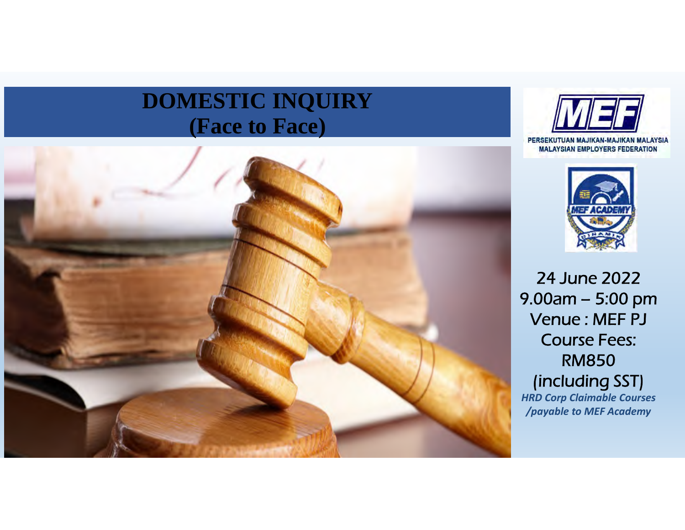# **DOMESTIC INQUIRY (Face to Face)**







24 June 2022 9.00am – 5:00 pm Venue : MEF PJ Course Fees: RM850 (including SST) *HRD Corp Claimable Courses /payable to MEF Academy*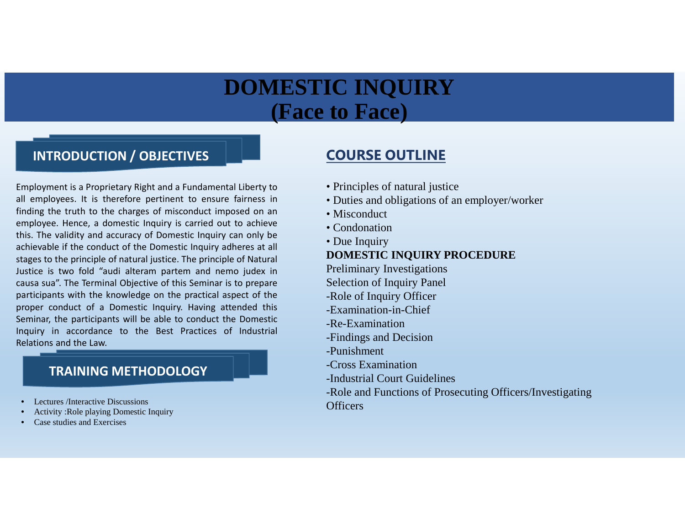## **DOMESTIC INQUIRY (Face to Face)**

### **INTRODUCTION / OBJECTIVES**

Employment is a Proprietary Right and a Fundamental Liberty to all employees. It is therefore pertinent to ensure fairness in finding the truth to the charges of misconduct imposed on an employee. Hence, a domestic Inquiry is carried out to achieve this. The validity and accuracy of Domestic Inquiry can only be achievable if the conduct of the Domestic Inquiry adheres at all stages to the principle of natural justice. The principle of Natural Justice is two fold "audi alteram partem and nemo judex in causa sua". The Terminal Objective of this Seminar is to prepare participants with the knowledge on the practical aspect of the proper conduct of a Domestic Inquiry. Having attended this Seminar, the participants will be able to conduct the Domestic Inquiry in accordance to the Best Practices of Industrial Relations and the Law.

### **TRAINING METHODOLOGY**

- Lectures /Interactive Discussions
- Activity :Role playing Domestic Inquiry
- Case studies and Exercises

## **COURSE OUTLINE**

- Principles of natural justice
- Duties and obligations of an employer/worker
- Misconduct
- Condonation
- Due Inquiry

### **DOMESTIC INQUIRY PROCEDURE**

- Preliminary Investigations
- Selection of Inquiry Panel
- -Role of Inquiry Officer
- -Examination-in-Chief
- -Re-Examination
- -Findings and Decision
- -Punishment
- -Cross Examination
- -Industrial Court Guidelines
- -Role and Functions of Prosecuting Officers/Investigating **Officers**